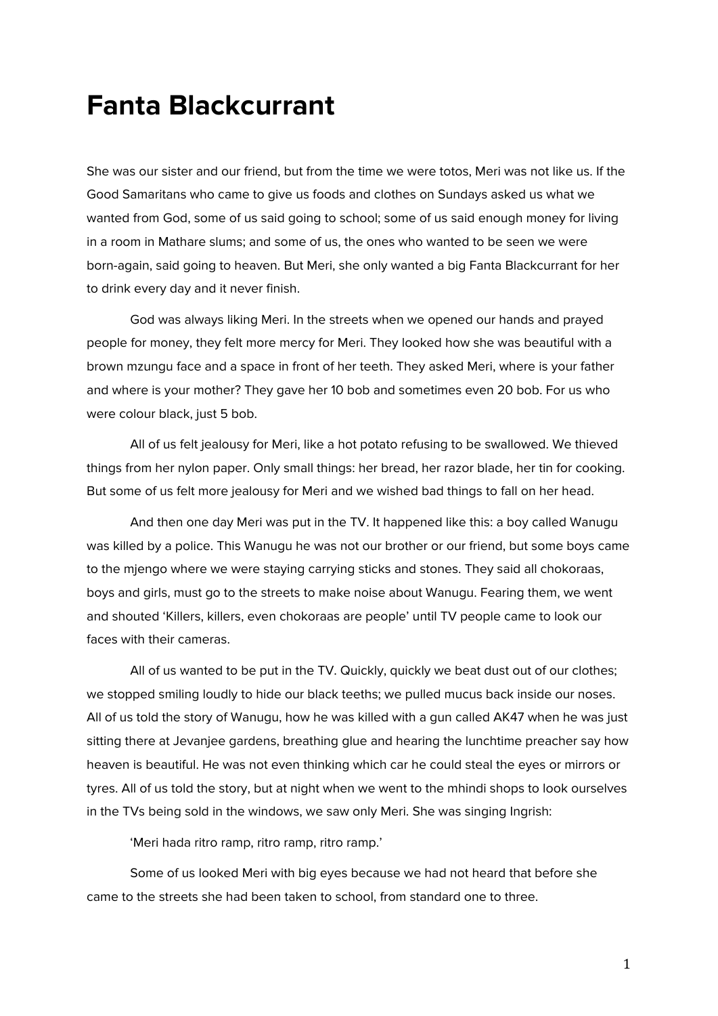## **Fanta Blackcurrant**

She was our sister and our friend, but from the time we were totos, Meri was not like us. If the Good Samaritans who came to give us foods and clothes on Sundays asked us what we wanted from God, some of us said going to school; some of us said enough money for living in a room in Mathare slums; and some of us, the ones who wanted to be seen we were born-again, said going to heaven. But Meri, she only wanted a big Fanta Blackcurrant for her to drink every day and it never finish.

God was always liking Meri. In the streets when we opened our hands and prayed people for money, they felt more mercy for Meri. They looked how she was beautiful with a brown mzungu face and a space in front of her teeth. They asked Meri, where is your father and where is your mother? They gave her 10 bob and sometimes even 20 bob. For us who were colour black, just 5 bob.

All of us felt jealousy for Meri, like a hot potato refusing to be swallowed. We thieved things from her nylon paper. Only small things: her bread, her razor blade, her tin for cooking. But some of us felt more jealousy for Meri and we wished bad things to fall on her head.

And then one day Meri was put in the TV. It happened like this: a boy called Wanugu was killed by a police. This Wanugu he was not our brother or our friend, but some boys came to the mjengo where we were staying carrying sticks and stones. They said all chokoraas, boys and girls, must go to the streets to make noise about Wanugu. Fearing them, we went and shouted 'Killers, killers, even chokoraas are people' until TV people came to look our faces with their cameras.

All of us wanted to be put in the TV. Quickly, quickly we beat dust out of our clothes; we stopped smiling loudly to hide our black teeths; we pulled mucus back inside our noses. All of us told the story of Wanugu, how he was killed with a gun called AK47 when he was just sitting there at Jevanjee gardens, breathing glue and hearing the lunchtime preacher say how heaven is beautiful. He was not even thinking which car he could steal the eyes or mirrors or tyres. All of us told the story, but at night when we went to the mhindi shops to look ourselves in the TVs being sold in the windows, we saw only Meri. She was singing Ingrish:

'Meri hada ritro ramp, ritro ramp, ritro ramp.'

Some of us looked Meri with big eyes because we had not heard that before she came to the streets she had been taken to school, from standard one to three.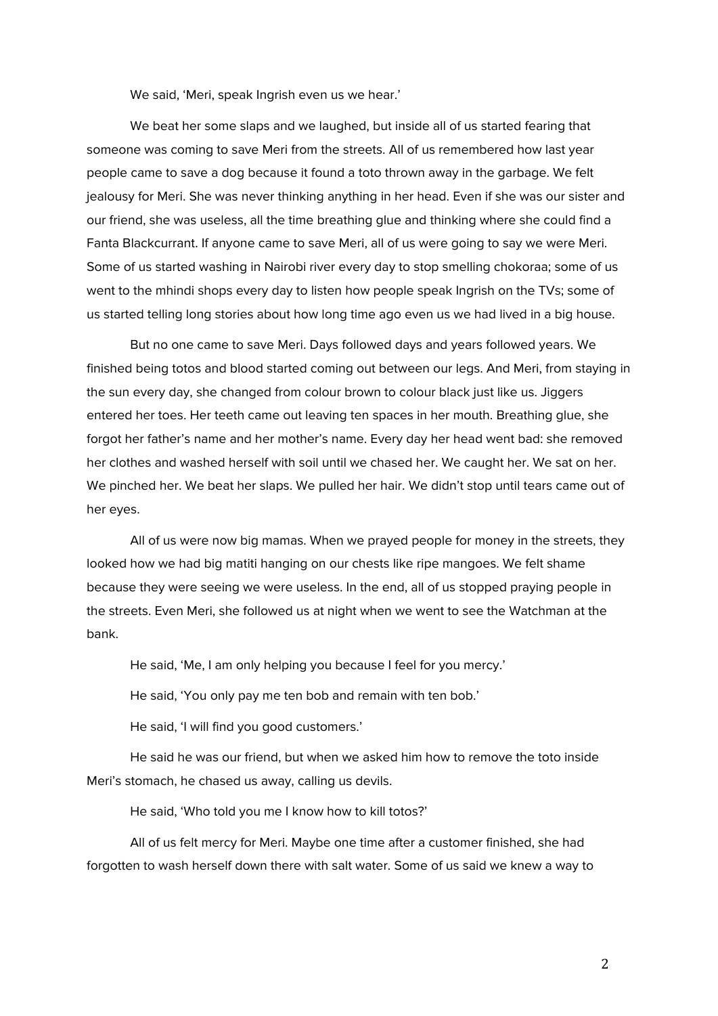We said, 'Meri, speak Ingrish even us we hear.'

We beat her some slaps and we laughed, but inside all of us started fearing that someone was coming to save Meri from the streets. All of us remembered how last year people came to save a dog because it found a toto thrown away in the garbage. We felt jealousy for Meri. She was never thinking anything in her head. Even if she was our sister and our friend, she was useless, all the time breathing glue and thinking where she could find a Fanta Blackcurrant. If anyone came to save Meri, all of us were going to say we were Meri. Some of us started washing in Nairobi river every day to stop smelling chokoraa; some of us went to the mhindi shops every day to listen how people speak Ingrish on the TVs; some of us started telling long stories about how long time ago even us we had lived in a big house.

But no one came to save Meri. Days followed days and years followed years. We finished being totos and blood started coming out between our legs. And Meri, from staying in the sun every day, she changed from colour brown to colour black just like us. Jiggers entered her toes. Her teeth came out leaving ten spaces in her mouth. Breathing glue, she forgot her father's name and her mother's name. Every day her head went bad: she removed her clothes and washed herself with soil until we chased her. We caught her. We sat on her. We pinched her. We beat her slaps. We pulled her hair. We didn't stop until tears came out of her eyes.

All of us were now big mamas. When we prayed people for money in the streets, they looked how we had big matiti hanging on our chests like ripe mangoes. We felt shame because they were seeing we were useless. In the end, all of us stopped praying people in the streets. Even Meri, she followed us at night when we went to see the Watchman at the bank.

He said, 'Me, I am only helping you because I feel for you mercy.'

He said, 'You only pay me ten bob and remain with ten bob.'

He said, 'I will find you good customers.'

He said he was our friend, but when we asked him how to remove the toto inside Meri's stomach, he chased us away, calling us devils.

He said, 'Who told you me I know how to kill totos?'

All of us felt mercy for Meri. Maybe one time after a customer finished, she had forgotten to wash herself down there with salt water. Some of us said we knew a way to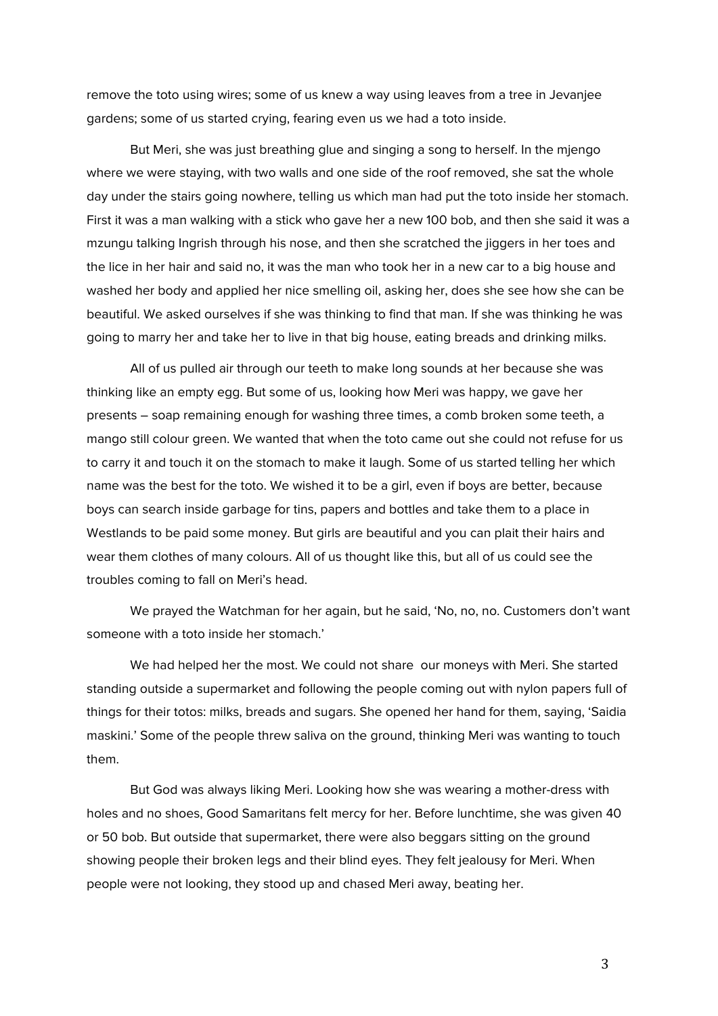remove the toto using wires; some of us knew a way using leaves from a tree in Jevanjee gardens; some of us started crying, fearing even us we had a toto inside.

But Meri, she was just breathing glue and singing a song to herself. In the mjengo where we were staying, with two walls and one side of the roof removed, she sat the whole day under the stairs going nowhere, telling us which man had put the toto inside her stomach. First it was a man walking with a stick who gave her a new 100 bob, and then she said it was a mzungu talking Ingrish through his nose, and then she scratched the jiggers in her toes and the lice in her hair and said no, it was the man who took her in a new car to a big house and washed her body and applied her nice smelling oil, asking her, does she see how she can be beautiful. We asked ourselves if she was thinking to find that man. If she was thinking he was going to marry her and take her to live in that big house, eating breads and drinking milks.

All of us pulled air through our teeth to make long sounds at her because she was thinking like an empty egg. But some of us, looking how Meri was happy, we gave her presents – soap remaining enough for washing three times, a comb broken some teeth, a mango still colour green. We wanted that when the toto came out she could not refuse for us to carry it and touch it on the stomach to make it laugh. Some of us started telling her which name was the best for the toto. We wished it to be a girl, even if boys are better, because boys can search inside garbage for tins, papers and bottles and take them to a place in Westlands to be paid some money. But girls are beautiful and you can plait their hairs and wear them clothes of many colours. All of us thought like this, but all of us could see the troubles coming to fall on Meri's head.

We prayed the Watchman for her again, but he said, 'No, no, no. Customers don't want someone with a toto inside her stomach.'

We had helped her the most. We could not share our moneys with Meri. She started standing outside a supermarket and following the people coming out with nylon papers full of things for their totos: milks, breads and sugars. She opened her hand for them, saying, 'Saidia maskini.' Some of the people threw saliva on the ground, thinking Meri was wanting to touch them.

But God was always liking Meri. Looking how she was wearing a mother-dress with holes and no shoes, Good Samaritans felt mercy for her. Before lunchtime, she was given 40 or 50 bob. But outside that supermarket, there were also beggars sitting on the ground showing people their broken legs and their blind eyes. They felt jealousy for Meri. When people were not looking, they stood up and chased Meri away, beating her.

3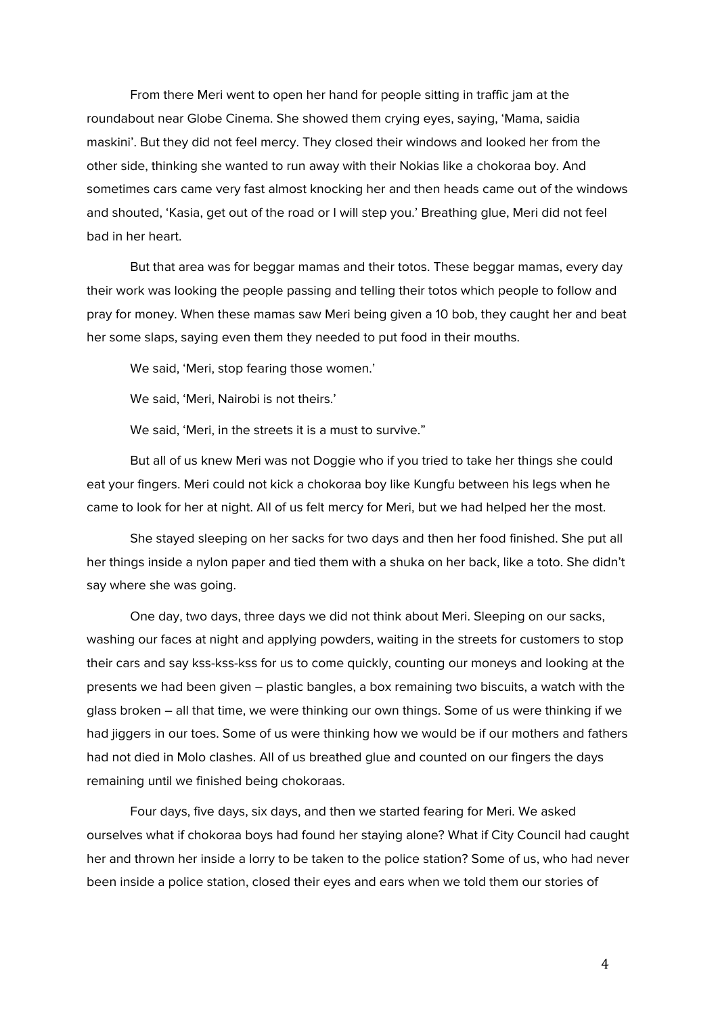From there Meri went to open her hand for people sitting in traffic jam at the roundabout near Globe Cinema. She showed them crying eyes, saying, 'Mama, saidia maskini'. But they did not feel mercy. They closed their windows and looked her from the other side, thinking she wanted to run away with their Nokias like a chokoraa boy. And sometimes cars came very fast almost knocking her and then heads came out of the windows and shouted, 'Kasia, get out of the road or I will step you.' Breathing glue, Meri did not feel bad in her heart.

But that area was for beggar mamas and their totos. These beggar mamas, every day their work was looking the people passing and telling their totos which people to follow and pray for money. When these mamas saw Meri being given a 10 bob, they caught her and beat her some slaps, saying even them they needed to put food in their mouths.

We said, 'Meri, stop fearing those women.'

We said, 'Meri, Nairobi is not theirs.'

We said, 'Meri, in the streets it is a must to survive."

But all of us knew Meri was not Doggie who if you tried to take her things she could eat your fingers. Meri could not kick a chokoraa boy like Kungfu between his legs when he came to look for her at night. All of us felt mercy for Meri, but we had helped her the most.

She stayed sleeping on her sacks for two days and then her food finished. She put all her things inside a nylon paper and tied them with a shuka on her back, like a toto. She didn't say where she was going.

One day, two days, three days we did not think about Meri. Sleeping on our sacks, washing our faces at night and applying powders, waiting in the streets for customers to stop their cars and say kss-kss-kss for us to come quickly, counting our moneys and looking at the presents we had been given – plastic bangles, a box remaining two biscuits, a watch with the glass broken – all that time, we were thinking our own things. Some of us were thinking if we had jiggers in our toes. Some of us were thinking how we would be if our mothers and fathers had not died in Molo clashes. All of us breathed glue and counted on our fingers the days remaining until we finished being chokoraas.

Four days, five days, six days, and then we started fearing for Meri. We asked ourselves what if chokoraa boys had found her staying alone? What if City Council had caught her and thrown her inside a lorry to be taken to the police station? Some of us, who had never been inside a police station, closed their eyes and ears when we told them our stories of

4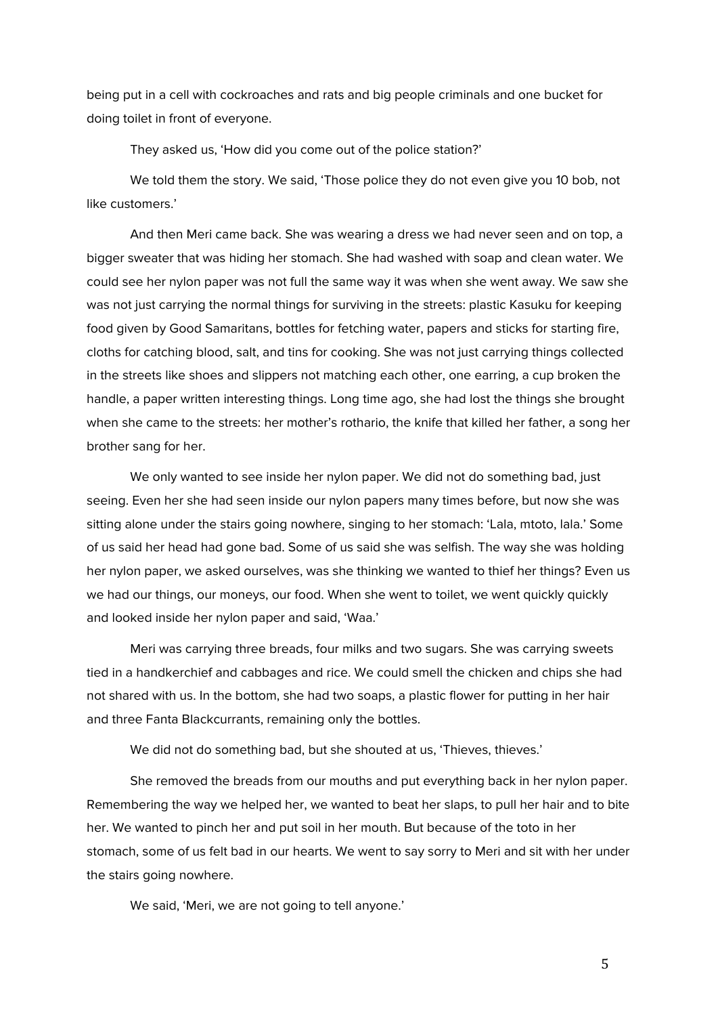being put in a cell with cockroaches and rats and big people criminals and one bucket for doing toilet in front of everyone.

They asked us, 'How did you come out of the police station?'

We told them the story. We said, 'Those police they do not even give you 10 bob, not like customers.'

And then Meri came back. She was wearing a dress we had never seen and on top, a bigger sweater that was hiding her stomach. She had washed with soap and clean water. We could see her nylon paper was not full the same way it was when she went away. We saw she was not just carrying the normal things for surviving in the streets: plastic Kasuku for keeping food given by Good Samaritans, bottles for fetching water, papers and sticks for starting fire, cloths for catching blood, salt, and tins for cooking. She was not just carrying things collected in the streets like shoes and slippers not matching each other, one earring, a cup broken the handle, a paper written interesting things. Long time ago, she had lost the things she brought when she came to the streets: her mother's rothario, the knife that killed her father, a song her brother sang for her.

We only wanted to see inside her nylon paper. We did not do something bad, just seeing. Even her she had seen inside our nylon papers many times before, but now she was sitting alone under the stairs going nowhere, singing to her stomach: 'Lala, mtoto, lala.' Some of us said her head had gone bad. Some of us said she was selfish. The way she was holding her nylon paper, we asked ourselves, was she thinking we wanted to thief her things? Even us we had our things, our moneys, our food. When she went to toilet, we went quickly quickly and looked inside her nylon paper and said, 'Waa.'

Meri was carrying three breads, four milks and two sugars. She was carrying sweets tied in a handkerchief and cabbages and rice. We could smell the chicken and chips she had not shared with us. In the bottom, she had two soaps, a plastic flower for putting in her hair and three Fanta Blackcurrants, remaining only the bottles.

We did not do something bad, but she shouted at us, 'Thieves, thieves.'

She removed the breads from our mouths and put everything back in her nylon paper. Remembering the way we helped her, we wanted to beat her slaps, to pull her hair and to bite her. We wanted to pinch her and put soil in her mouth. But because of the toto in her stomach, some of us felt bad in our hearts. We went to say sorry to Meri and sit with her under the stairs going nowhere.

We said, 'Meri, we are not going to tell anyone.'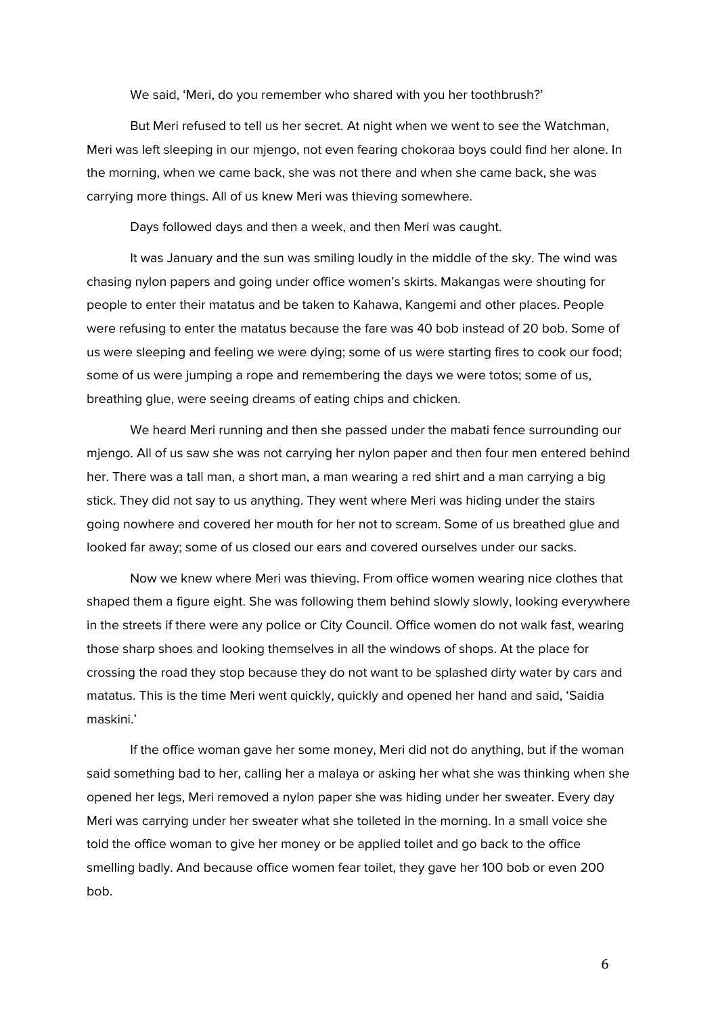We said, 'Meri, do you remember who shared with you her toothbrush?'

But Meri refused to tell us her secret. At night when we went to see the Watchman, Meri was left sleeping in our mjengo, not even fearing chokoraa boys could find her alone. In the morning, when we came back, she was not there and when she came back, she was carrying more things. All of us knew Meri was thieving somewhere.

Days followed days and then a week, and then Meri was caught.

It was January and the sun was smiling loudly in the middle of the sky. The wind was chasing nylon papers and going under office women's skirts. Makangas were shouting for people to enter their matatus and be taken to Kahawa, Kangemi and other places. People were refusing to enter the matatus because the fare was 40 bob instead of 20 bob. Some of us were sleeping and feeling we were dying; some of us were starting fires to cook our food; some of us were jumping a rope and remembering the days we were totos; some of us, breathing glue, were seeing dreams of eating chips and chicken.

We heard Meri running and then she passed under the mabati fence surrounding our mjengo. All of us saw she was not carrying her nylon paper and then four men entered behind her. There was a tall man, a short man, a man wearing a red shirt and a man carrying a big stick. They did not say to us anything. They went where Meri was hiding under the stairs going nowhere and covered her mouth for her not to scream. Some of us breathed glue and looked far away; some of us closed our ears and covered ourselves under our sacks.

Now we knew where Meri was thieving. From office women wearing nice clothes that shaped them a figure eight. She was following them behind slowly slowly, looking everywhere in the streets if there were any police or City Council. Office women do not walk fast, wearing those sharp shoes and looking themselves in all the windows of shops. At the place for crossing the road they stop because they do not want to be splashed dirty water by cars and matatus. This is the time Meri went quickly, quickly and opened her hand and said, 'Saidia maskini.'

If the office woman gave her some money, Meri did not do anything, but if the woman said something bad to her, calling her a malaya or asking her what she was thinking when she opened her legs, Meri removed a nylon paper she was hiding under her sweater. Every day Meri was carrying under her sweater what she toileted in the morning. In a small voice she told the office woman to give her money or be applied toilet and go back to the office smelling badly. And because office women fear toilet, they gave her 100 bob or even 200 bob.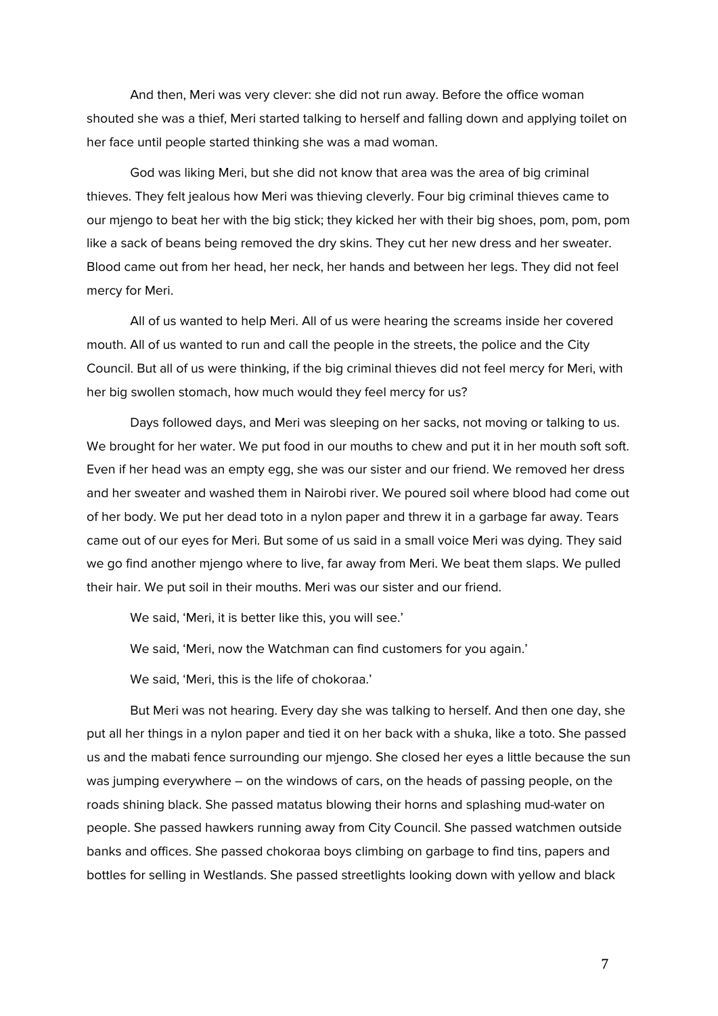And then, Meri was very clever: she did not run away. Before the office woman shouted she was a thief, Meri started talking to herself and falling down and applying toilet on her face until people started thinking she was a mad woman.

God was liking Meri, but she did not know that area was the area of big criminal thieves. They felt jealous how Meri was thieving cleverly. Four big criminal thieves came to our mjengo to beat her with the big stick; they kicked her with their big shoes, pom, pom, pom like a sack of beans being removed the dry skins. They cut her new dress and her sweater. Blood came out from her head, her neck, her hands and between her legs. They did not feel mercy for Meri.

All of us wanted to help Meri. All of us were hearing the screams inside her covered mouth. All of us wanted to run and call the people in the streets, the police and the City Council. But all of us were thinking, if the big criminal thieves did not feel mercy for Meri, with her big swollen stomach, how much would they feel mercy for us?

Days followed days, and Meri was sleeping on her sacks, not moving or talking to us. We brought for her water. We put food in our mouths to chew and put it in her mouth soft soft. Even if her head was an empty egg, she was our sister and our friend. We removed her dress and her sweater and washed them in Nairobi river. We poured soil where blood had come out of her body. We put her dead toto in a nylon paper and threw it in a garbage far away. Tears came out of our eyes for Meri. But some of us said in a small voice Meri was dying. They said we go find another mjengo where to live, far away from Meri. We beat them slaps. We pulled their hair. We put soil in their mouths. Meri was our sister and our friend.

We said, 'Meri, it is better like this, you will see.'

We said, 'Meri, now the Watchman can find customers for you again.'

We said, 'Meri, this is the life of chokoraa.'

But Meri was not hearing. Every day she was talking to herself. And then one day, she put all her things in a nylon paper and tied it on her back with a shuka, like a toto. She passed us and the mabati fence surrounding our mjengo. She closed her eyes a little because the sun was jumping everywhere – on the windows of cars, on the heads of passing people, on the roads shining black. She passed matatus blowing their horns and splashing mud-water on people. She passed hawkers running away from City Council. She passed watchmen outside banks and offices. She passed chokoraa boys climbing on garbage to find tins, papers and bottles for selling in Westlands. She passed streetlights looking down with yellow and black

7